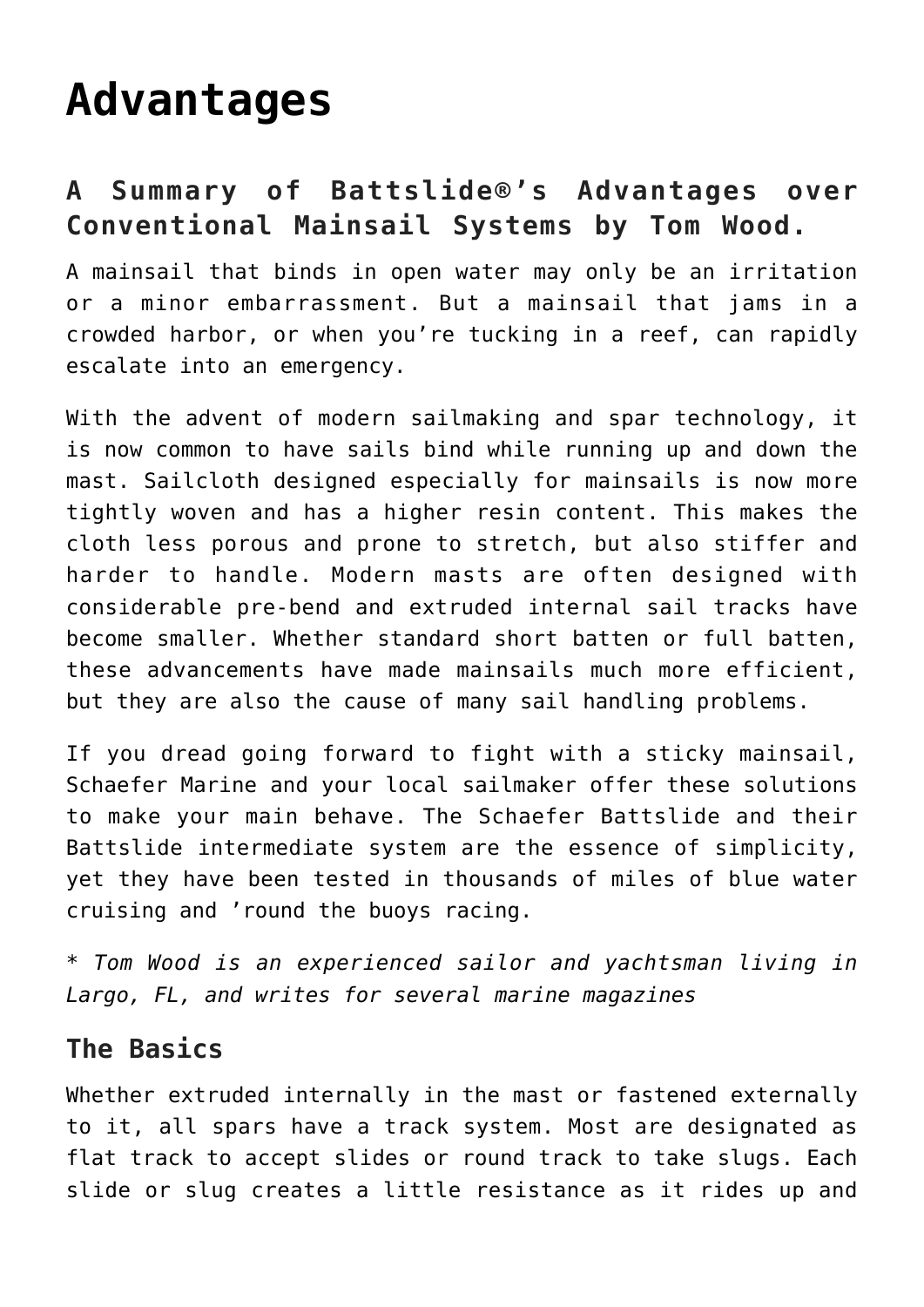# **[Advantages](https://www.schaefermarine.com/our-products/battslide/advantages/)**

# **A Summary of Battslide®'s Advantages over Conventional Mainsail Systems by Tom Wood.**

A mainsail that binds in open water may only be an irritation or a minor embarrassment. But a mainsail that jams in a crowded harbor, or when you're tucking in a reef, can rapidly escalate into an emergency.

With the advent of modern sailmaking and spar technology, it is now common to have sails bind while running up and down the mast. Sailcloth designed especially for mainsails is now more tightly woven and has a higher resin content. This makes the cloth less porous and prone to stretch, but also stiffer and harder to handle. Modern masts are often designed with considerable pre-bend and extruded internal sail tracks have become smaller. Whether standard short batten or full batten, these advancements have made mainsails much more efficient, but they are also the cause of many sail handling problems.

If you dread going forward to fight with a sticky mainsail, Schaefer Marine and your local sailmaker offer these solutions to make your main behave. The Schaefer Battslide and their Battslide intermediate system are the essence of simplicity, yet they have been tested in thousands of miles of blue water cruising and 'round the buoys racing.

*\* Tom Wood is an experienced sailor and yachtsman living in Largo, FL, and writes for several marine magazines*

## **The Basics**

Whether extruded internally in the mast or fastened externally to it, all spars have a track system. Most are designated as flat track to accept slides or round track to take slugs. Each slide or slug creates a little resistance as it rides up and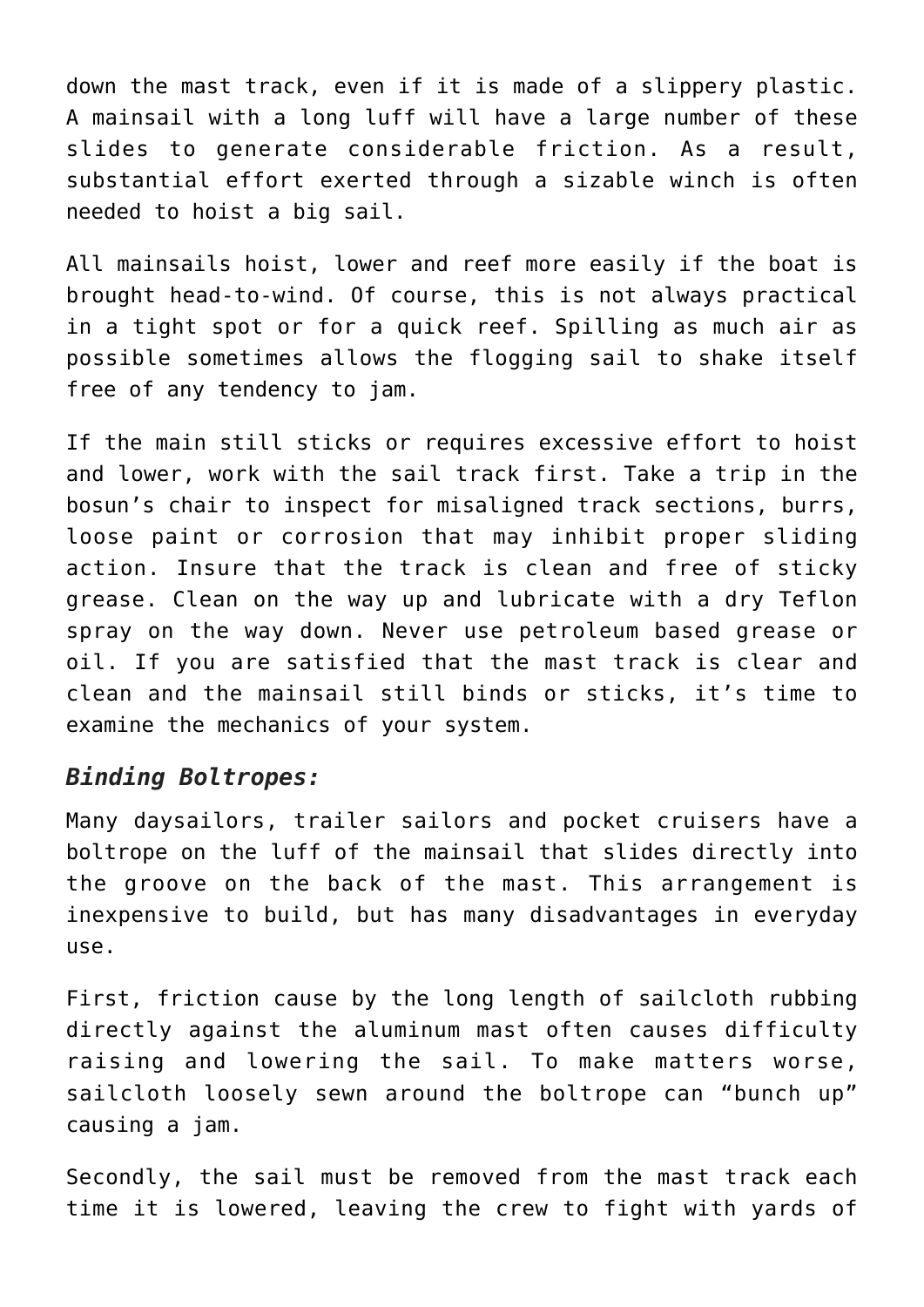down the mast track, even if it is made of a slippery plastic. A mainsail with a long luff will have a large number of these slides to generate considerable friction. As a result, substantial effort exerted through a sizable winch is often needed to hoist a big sail.

All mainsails hoist, lower and reef more easily if the boat is brought head-to-wind. Of course, this is not always practical in a tight spot or for a quick reef. Spilling as much air as possible sometimes allows the flogging sail to shake itself free of any tendency to jam.

If the main still sticks or requires excessive effort to hoist and lower, work with the sail track first. Take a trip in the bosun's chair to inspect for misaligned track sections, burrs, loose paint or corrosion that may inhibit proper sliding action. Insure that the track is clean and free of sticky grease. Clean on the way up and lubricate with a dry Teflon spray on the way down. Never use petroleum based grease or oil. If you are satisfied that the mast track is clear and clean and the mainsail still binds or sticks, it's time to examine the mechanics of your system.

#### *Binding Boltropes:*

Many daysailors, trailer sailors and pocket cruisers have a boltrope on the luff of the mainsail that slides directly into the groove on the back of the mast. This arrangement is inexpensive to build, but has many disadvantages in everyday use.

First, friction cause by the long length of sailcloth rubbing directly against the aluminum mast often causes difficulty raising and lowering the sail. To make matters worse, sailcloth loosely sewn around the boltrope can "bunch up" causing a jam.

Secondly, the sail must be removed from the mast track each time it is lowered, leaving the crew to fight with yards of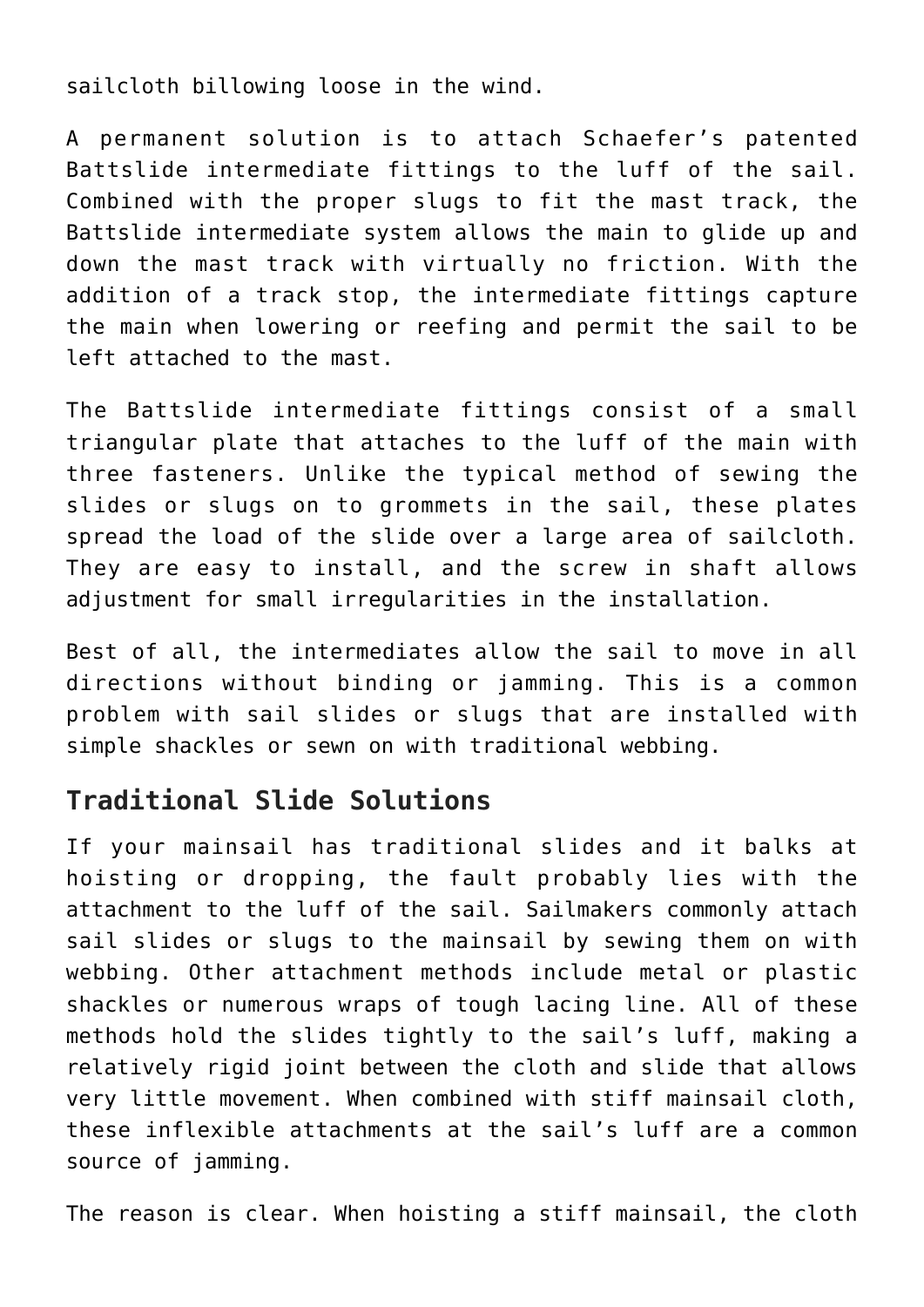sailcloth billowing loose in the wind.

A permanent solution is to attach Schaefer's patented Battslide intermediate fittings to the luff of the sail. Combined with the proper slugs to fit the mast track, the Battslide intermediate system allows the main to glide up and down the mast track with virtually no friction. With the addition of a track stop, the intermediate fittings capture the main when lowering or reefing and permit the sail to be left attached to the mast.

The Battslide intermediate fittings consist of a small triangular plate that attaches to the luff of the main with three fasteners. Unlike the typical method of sewing the slides or slugs on to grommets in the sail, these plates spread the load of the slide over a large area of sailcloth. They are easy to install, and the screw in shaft allows adjustment for small irregularities in the installation.

Best of all, the intermediates allow the sail to move in all directions without binding or jamming. This is a common problem with sail slides or slugs that are installed with simple shackles or sewn on with traditional webbing.

### **Traditional Slide Solutions**

If your mainsail has traditional slides and it balks at hoisting or dropping, the fault probably lies with the attachment to the luff of the sail. Sailmakers commonly attach sail slides or slugs to the mainsail by sewing them on with webbing. Other attachment methods include metal or plastic shackles or numerous wraps of tough lacing line. All of these methods hold the slides tightly to the sail's luff, making a relatively rigid joint between the cloth and slide that allows very little movement. When combined with stiff mainsail cloth, these inflexible attachments at the sail's luff are a common source of jamming.

The reason is clear. When hoisting a stiff mainsail, the cloth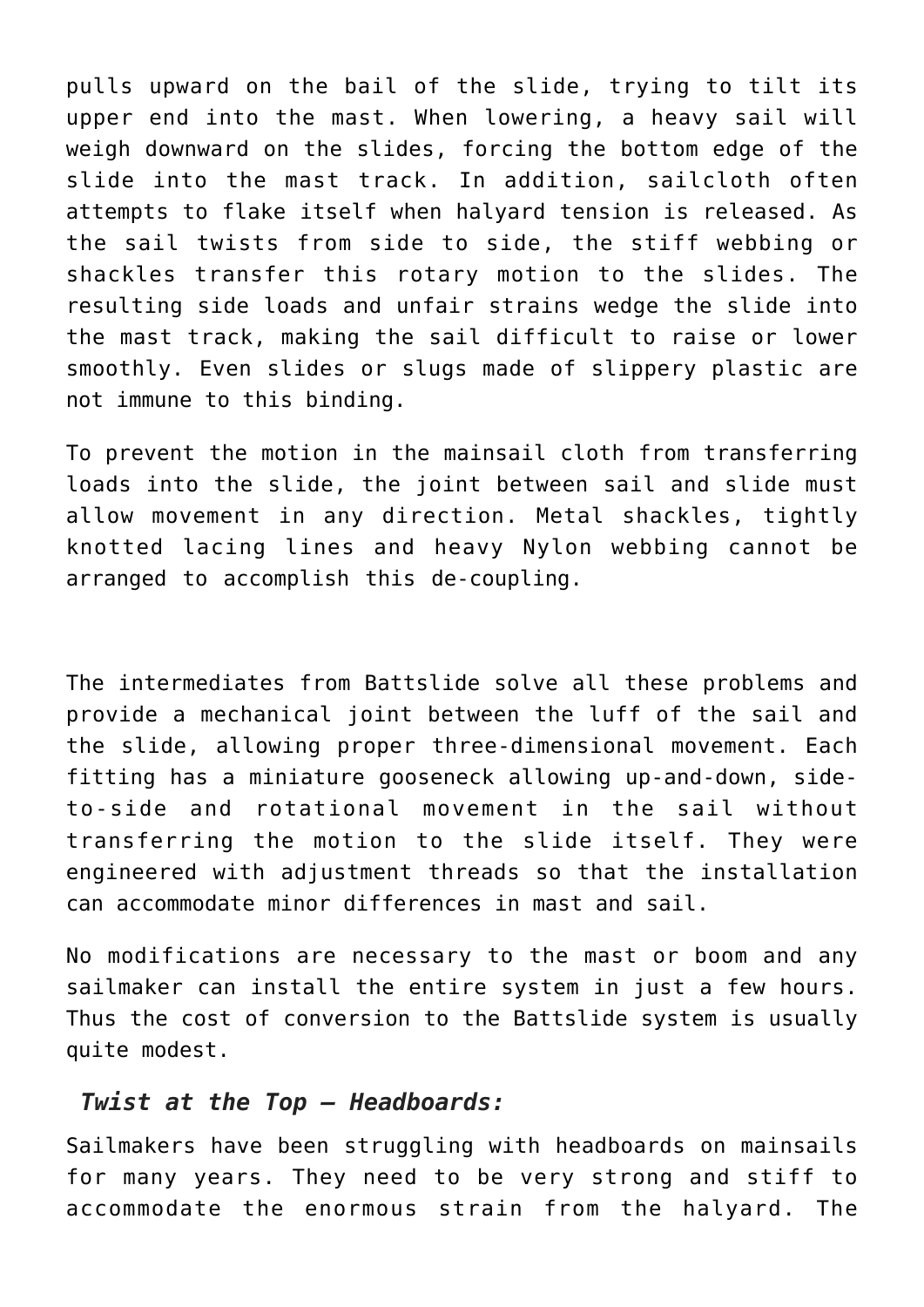pulls upward on the bail of the slide, trying to tilt its upper end into the mast. When lowering, a heavy sail will weigh downward on the slides, forcing the bottom edge of the slide into the mast track. In addition, sailcloth often attempts to flake itself when halyard tension is released. As the sail twists from side to side, the stiff webbing or shackles transfer this rotary motion to the slides. The resulting side loads and unfair strains wedge the slide into the mast track, making the sail difficult to raise or lower smoothly. Even slides or slugs made of slippery plastic are not immune to this binding.

To prevent the motion in the mainsail cloth from transferring loads into the slide, the joint between sail and slide must allow movement in any direction. Metal shackles, tightly knotted lacing lines and heavy Nylon webbing cannot be arranged to accomplish this de-coupling.

The intermediates from Battslide solve all these problems and provide a mechanical joint between the luff of the sail and the slide, allowing proper three-dimensional movement. Each fitting has a miniature gooseneck allowing up-and-down, sideto-side and rotational movement in the sail without transferring the motion to the slide itself. They were engineered with adjustment threads so that the installation can accommodate minor differences in mast and sail.

No modifications are necessary to the mast or boom and any sailmaker can install the entire system in just a few hours. Thus the cost of conversion to the Battslide system is usually quite modest.

#### *Twist at the Top — Headboards:*

Sailmakers have been struggling with headboards on mainsails for many years. They need to be very strong and stiff to accommodate the enormous strain from the halyard. The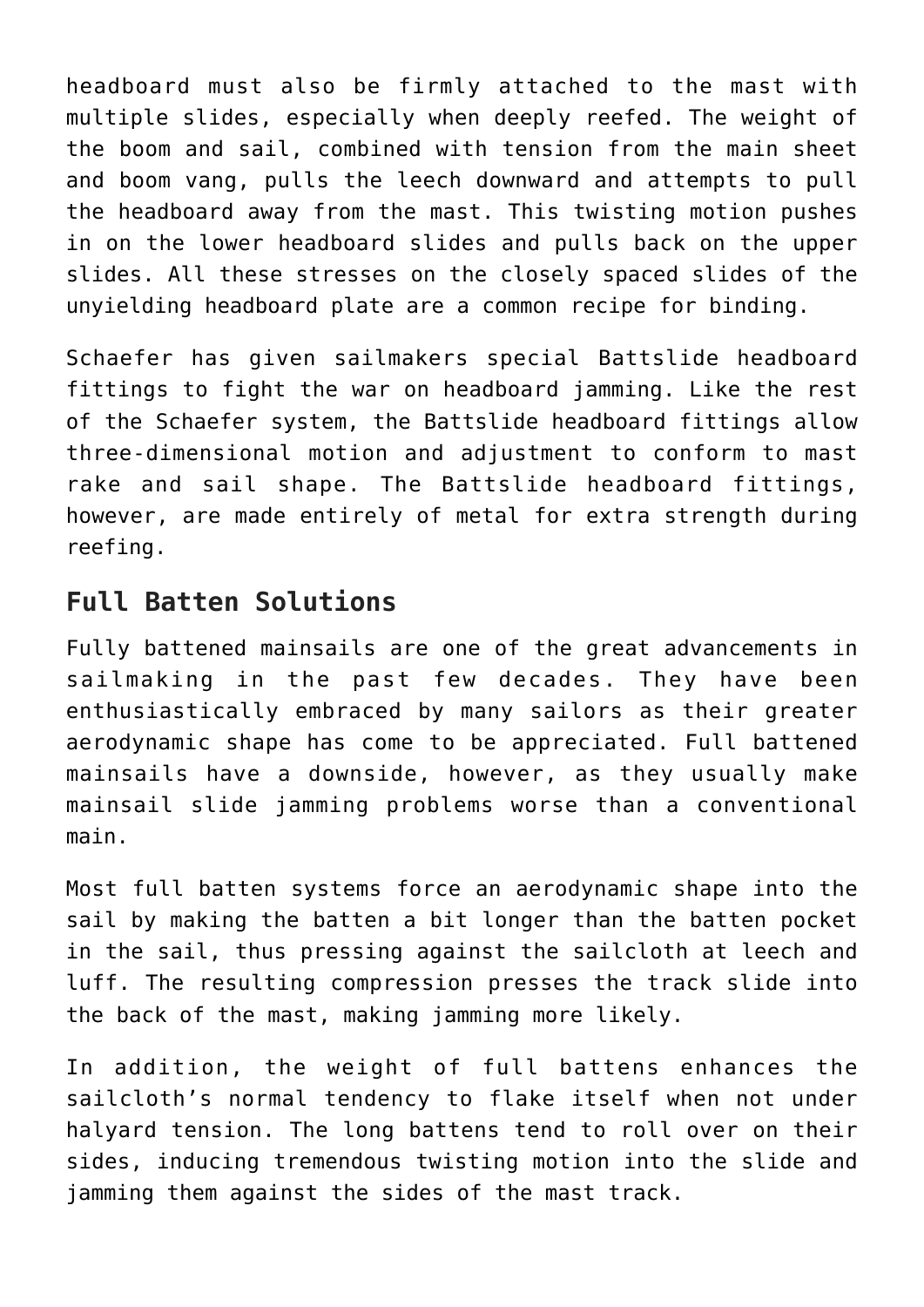headboard must also be firmly attached to the mast with multiple slides, especially when deeply reefed. The weight of the boom and sail, combined with tension from the main sheet and boom vang, pulls the leech downward and attempts to pull the headboard away from the mast. This twisting motion pushes in on the lower headboard slides and pulls back on the upper slides. All these stresses on the closely spaced slides of the unyielding headboard plate are a common recipe for binding.

Schaefer has given sailmakers special Battslide headboard fittings to fight the war on headboard jamming. Like the rest of the Schaefer system, the Battslide headboard fittings allow three-dimensional motion and adjustment to conform to mast rake and sail shape. The Battslide headboard fittings, however, are made entirely of metal for extra strength during reefing.

## **Full Batten Solutions**

Fully battened mainsails are one of the great advancements in sailmaking in the past few decades. They have been enthusiastically embraced by many sailors as their greater aerodynamic shape has come to be appreciated. Full battened mainsails have a downside, however, as they usually make mainsail slide jamming problems worse than a conventional main.

Most full batten systems force an aerodynamic shape into the sail by making the batten a bit longer than the batten pocket in the sail, thus pressing against the sailcloth at leech and luff. The resulting compression presses the track slide into the back of the mast, making jamming more likely.

In addition, the weight of full battens enhances the sailcloth's normal tendency to flake itself when not under halyard tension. The long battens tend to roll over on their sides, inducing tremendous twisting motion into the slide and jamming them against the sides of the mast track.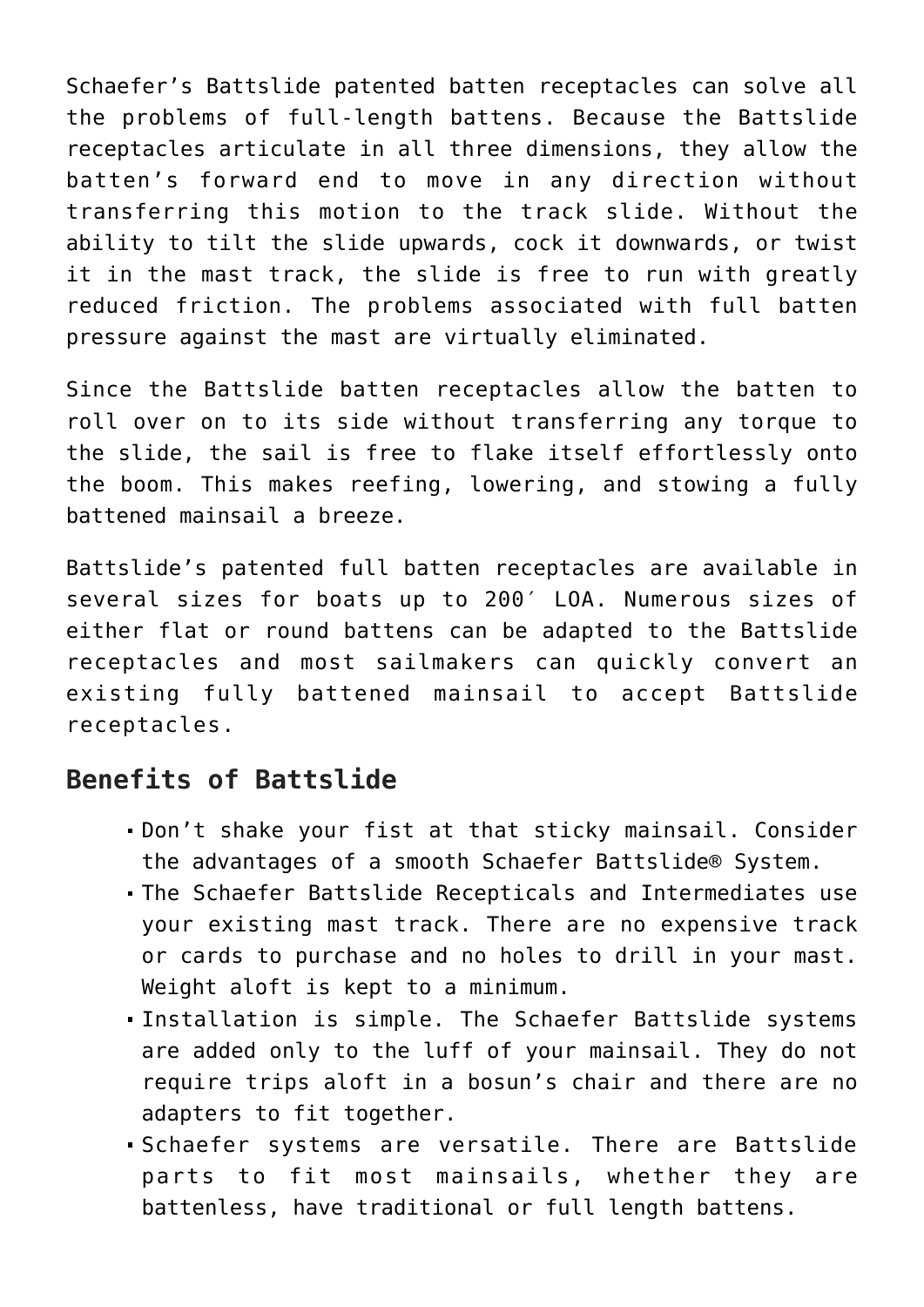Schaefer's Battslide patented batten receptacles can solve all the problems of full-length battens. Because the Battslide receptacles articulate in all three dimensions, they allow the batten's forward end to move in any direction without transferring this motion to the track slide. Without the ability to tilt the slide upwards, cock it downwards, or twist it in the mast track, the slide is free to run with greatly reduced friction. The problems associated with full batten pressure against the mast are virtually eliminated.

Since the Battslide batten receptacles allow the batten to roll over on to its side without transferring any torque to the slide, the sail is free to flake itself effortlessly onto the boom. This makes reefing, lowering, and stowing a fully battened mainsail a breeze.

Battslide's patented full batten receptacles are available in several sizes for boats up to 200′ LOA. Numerous sizes of either flat or round battens can be adapted to the Battslide receptacles and most sailmakers can quickly convert an existing fully battened mainsail to accept Battslide receptacles.

### **Benefits of Battslide**

- Don't shake your fist at that sticky mainsail. Consider the advantages of a smooth Schaefer Battslide® System.
- The Schaefer Battslide Recepticals and Intermediates use your existing mast track. There are no expensive track or cards to purchase and no holes to drill in your mast. Weight aloft is kept to a minimum.
- Installation is simple. The Schaefer Battslide systems are added only to the luff of your mainsail. They do not require trips aloft in a bosun's chair and there are no adapters to fit together.
- Schaefer systems are versatile. There are Battslide parts to fit most mainsails, whether they are battenless, have traditional or full length battens.